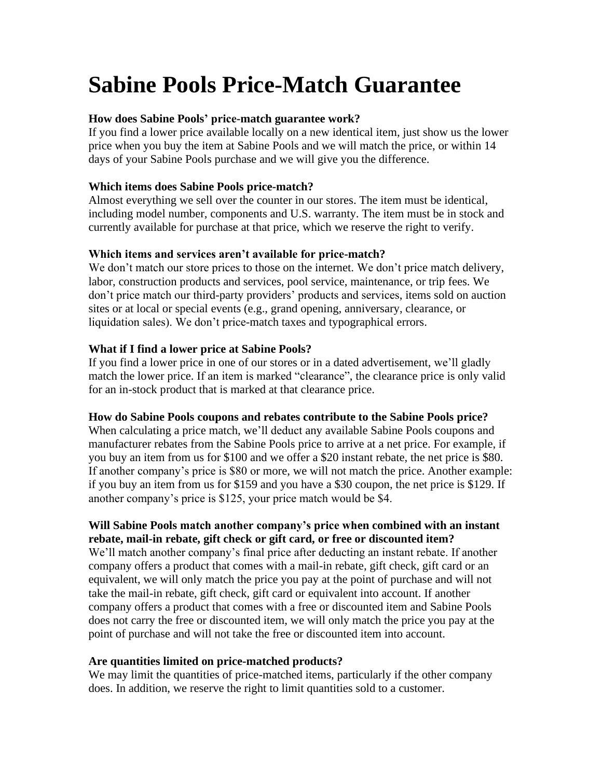# **Sabine Pools Price-Match Guarantee**

## **How does Sabine Pools' price-match guarantee work?**

If you find a lower price available locally on a new identical item, just show us the lower price when you buy the item at Sabine Pools and we will match the price, or within 14 days of your Sabine Pools purchase and we will give you the difference.

## **Which items does Sabine Pools price-match?**

Almost everything we sell over the counter in our stores. The item must be identical, including model number, components and U.S. warranty. The item must be in stock and currently available for purchase at that price, which we reserve the right to verify.

# **Which items and services aren't available for price-match?**

We don't match our store prices to those on the internet. We don't price match delivery, labor, construction products and services, pool service, maintenance, or trip fees. We don't price match our third-party providers' products and services, items sold on auction sites or at local or special events (e.g., grand opening, anniversary, clearance, or liquidation sales). We don't price-match taxes and typographical errors.

#### **What if I find a lower price at Sabine Pools?**

If you find a lower price in one of our stores or in a dated advertisement, we'll gladly match the lower price. If an item is marked "clearance", the clearance price is only valid for an in-stock product that is marked at that clearance price.

#### **How do Sabine Pools coupons and rebates contribute to the Sabine Pools price?**

When calculating a price match, we'll deduct any available Sabine Pools coupons and manufacturer rebates from the Sabine Pools price to arrive at a net price. For example, if you buy an item from us for \$100 and we offer a \$20 instant rebate, the net price is \$80. If another company's price is \$80 or more, we will not match the price. Another example: if you buy an item from us for \$159 and you have a \$30 coupon, the net price is \$129. If another company's price is \$125, your price match would be \$4.

# **Will Sabine Pools match another company's price when combined with an instant rebate, mail-in rebate, gift check or gift card, or free or discounted item?**

We'll match another company's final price after deducting an instant rebate. If another company offers a product that comes with a mail-in rebate, gift check, gift card or an equivalent, we will only match the price you pay at the point of purchase and will not take the mail-in rebate, gift check, gift card or equivalent into account. If another company offers a product that comes with a free or discounted item and Sabine Pools does not carry the free or discounted item, we will only match the price you pay at the point of purchase and will not take the free or discounted item into account.

#### **Are quantities limited on price-matched products?**

We may limit the quantities of price-matched items, particularly if the other company does. In addition, we reserve the right to limit quantities sold to a customer.